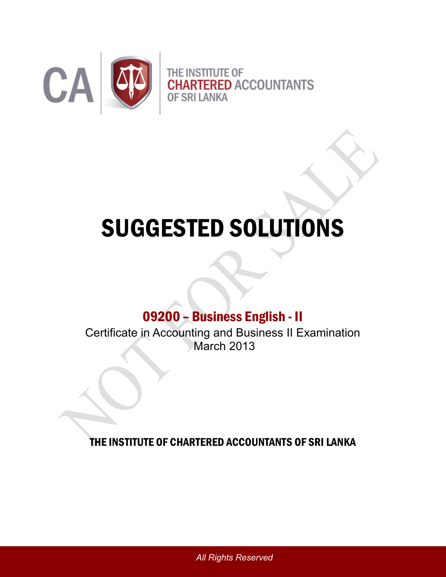

# SUGGESTED SOLUTIONS

# 09200 – Business English - II

Certificate in Accounting and Business II Examination March 2013

THE INSTITUTE OF CHARTERED ACCOUNTANTS OF SRI LANKA

*All Rights Reserved*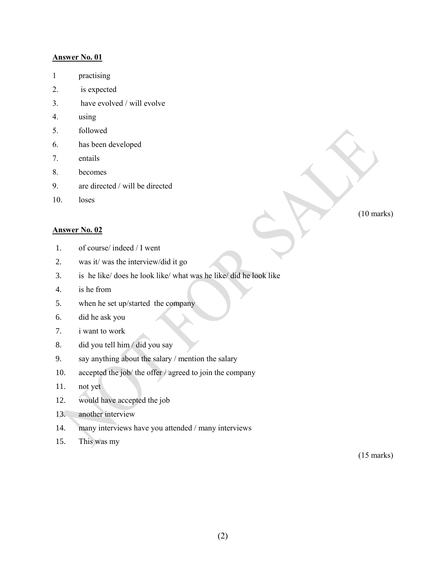#### **Answer No. 01**

- 1 practising
- 2. is expected
- 3. have evolved / will evolve
- 4. using
- 5. followed
- 6. has been developed
- 7. entails
- 8. becomes
- 9. are directed / will be directed
- 10. loses

#### **Answer No. 02**

- 1. of course/ indeed / I went
- 2. was it/ was the interview/did it go
- 3. is he like/ does he look like/ what was he like/ did he look like
- 4. is he from
- 5. when he set up/started the company
- 6. did he ask you
- 7. i want to work
- 8. did you tell him / did you say
- 9. say anything about the salary / mention the salary
- 10. accepted the job/ the offer / agreed to join the company
- 11. not yet
- 12. would have accepted the job
- 13. another interview
- 14. many interviews have you attended / many interviews
- 15. This was my

(15 marks)

(2)

(10 marks)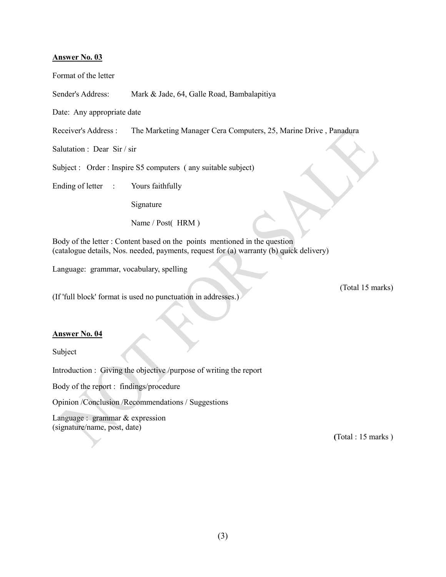#### **Answer No. 03**

Format of the letter

Sender's Address: Mark & Jade, 64, Galle Road, Bambalapitiya

Date: Any appropriate date

Receiver's Address : The Marketing Manager Cera Computers, 25, Marine Drive , Panadura

Salutation : Dear Sir / sir

Subject : Order : Inspire S5 computers ( any suitable subject)

Ending of letter : Yours faithfully

Signature

Name / Post( HRM )

Body of the letter : Content based on the points mentioned in the question (catalogue details, Nos. needed, payments, request for (a) warranty (b) quick delivery)

Language: grammar, vocabulary, spelling

(If 'full block' format is used no punctuation in addresses.)

#### **Answer No. 04**

Subject

Introduction : Giving the objective /purpose of writing the report

Body of the report : findings/procedure

Opinion /Conclusion /Recommendations / Suggestions

Language : grammar & expression (signature/name, post, date)

**(**Total : 15 marks )

(Total 15 marks)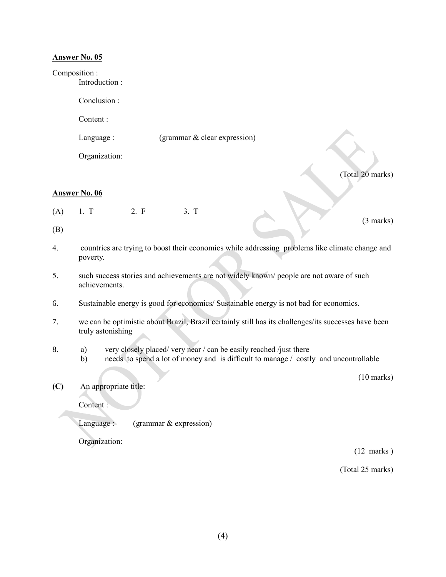#### **Answer No. 05**

#### Composition :

Introduction :

Conclusion :

Content :

Language : (grammar & clear expression)

Organization:

(Total 20 marks)

(3 marks)

### **Answer No. 06**

 $(A)$  1. T 2. F 3. T

(B)

- 4. countries are trying to boost their economies while addressing problems like climate change and poverty.
- 5. such success stories and achievements are not widely known/ people are not aware of such achievements.
- 6. Sustainable energy is good for economics/ Sustainable energy is not bad for economics.
- 7. we can be optimistic about Brazil, Brazil certainly still has its challenges/its successes have been truly astonishing
- 8. a) very closely placed/ very near / can be easily reached /just there
	- b) needs to spend a lot of money and is difficult to manage / costly and uncontrollable

(10 marks)

**(C)** An appropriate title:

Content :

Language : (grammar & expression)

Organization:

(12 marks )

(Total 25 marks)